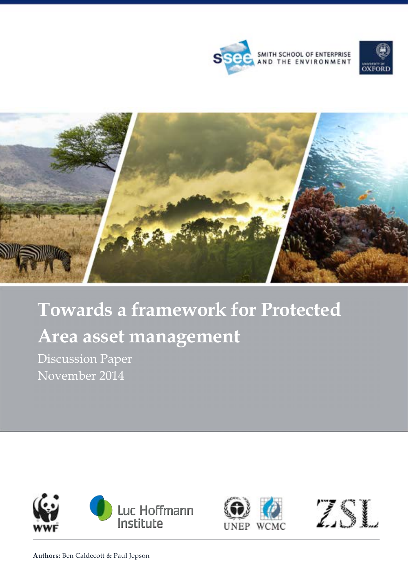





# **Towards a framework for Protected Area asset management**

Discussion Paper November 2014





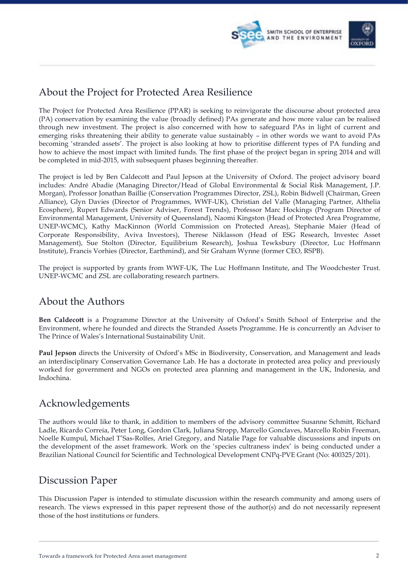

### About the Project for Protected Area Resilience

The Project for Protected Area Resilience (PPAR) is seeking to reinvigorate the discourse about protected area (PA) conservation by examining the value (broadly defined) PAs generate and how more value can be realised through new investment. The project is also concerned with how to safeguard PAs in light of current and emerging risks threatening their ability to generate value sustainably – in other words we want to avoid PAs becoming 'stranded assets'. The project is also looking at how to prioritise different types of PA funding and how to achieve the most impact with limited funds. The first phase of the project began in spring 2014 and will be completed in mid-2015, with subsequent phases beginning thereafter.

The project is led by Ben Caldecott and Paul Jepson at the University of Oxford. The project advisory board includes: André Abadie (Managing Director/Head of Global Environmental & Social Risk Management, J.P. Morgan), Professor Jonathan Baillie (Conservation Programmes Director, ZSL), Robin Bidwell (Chairman, Green Alliance), Glyn Davies (Director of Programmes, WWF-UK), Christian del Valle (Managing Partner, Althelia Ecosphere), Rupert Edwards (Senior Adviser, Forest Trends), Professor Marc Hockings (Program Director of Environmental Management, University of Queensland), Naomi Kingston (Head of Protected Area Programme, UNEP-WCMC), Kathy MacKinnon (World Commission on Protected Areas), Stephanie Maier (Head of Corporate Responsibility, Aviva Investors), Therese Niklasson (Head of ESG Research, Investec Asset Management), Sue Stolton (Director, Equilibrium Research), Joshua Tewksbury (Director, Luc Hoffmann Institute), Francis Vorhies (Director, Earthmind), and Sir Graham Wynne (former CEO, RSPB).

The project is supported by grants from WWF-UK, The Luc Hoffmann Institute, and The Woodchester Trust. UNEP-WCMC and ZSL are collaborating research partners.

### About the Authors

**Ben Caldecott** is a Programme Director at the University of Oxford's Smith School of Enterprise and the Environment, where he founded and directs the Stranded Assets Programme. He is concurrently an Adviser to The Prince of Wales's International Sustainability Unit.

**Paul Jepson** directs the University of Oxford's MSc in Biodiversity, Conservation, and Management and leads an interdisciplinary Conservation Governance Lab. He has a doctorate in protected area policy and previously worked for government and NGOs on protected area planning and management in the UK, Indonesia, and Indochina.

### Acknowledgements

The authors would like to thank, in addition to members of the advisory committee Susanne Schmitt, Richard Ladle, Ricardo Correia, Peter Long, Gordon Clark, Juliana Stropp, Marcello Gonclaves, Marcello Robin Freeman, Noelle Kumpul, Michael T'Sas-Rolfes, Ariel Gregory, and Natalie Page for valuable discusssions and inputs on the development of the asset framework. Work on the 'species cultraness index' is being conducted under a Brazilian National Council for Scientific and Technological Development CNPq-PVE Grant (No: 400325/201).

### Discussion Paper

This Discussion Paper is intended to stimulate discussion within the research community and among users of research. The views expressed in this paper represent those of the author(s) and do not necessarily represent those of the host institutions or funders.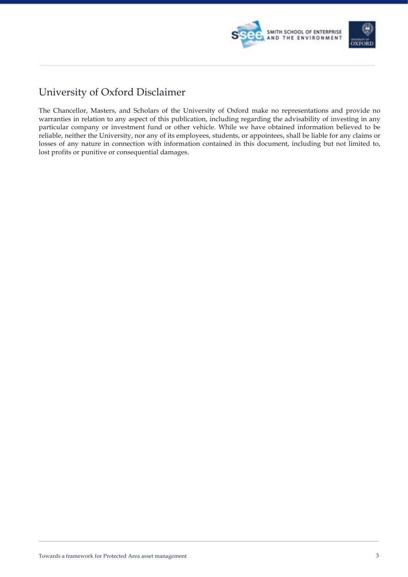

## University of Oxford Disclaimer

The Chancellor, Masters, and Scholars of the University of Oxford make no representations and provide no warranties in relation to any aspect of this publication, including regarding the advisability of investing in any particular company or investment fund or other vehicle. While we have obtained information believed to be reliable, neither the University, nor any of its employees, students, or appointees, shall be liable for any claims or losses of any nature in connection with information contained in this document, including but not limited to, lost profits or punitive or consequential damages.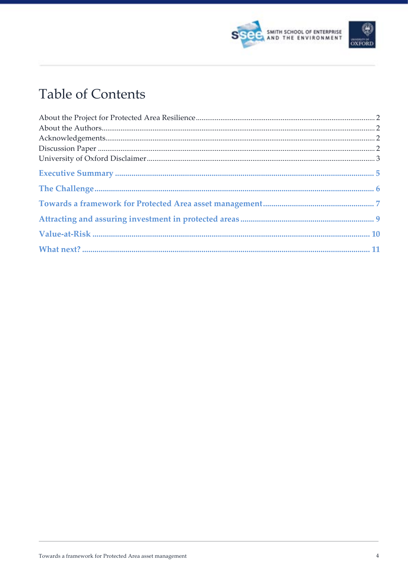



# **Table of Contents**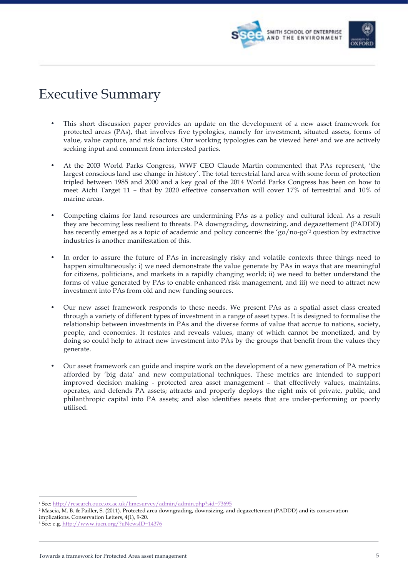

# Executive Summary

- This short discussion paper provides an update on the development of a new asset framework for protected areas (PAs), that involves five typologies, namely for investment, situated assets, forms of value, value capture, and risk factors. Our working typologies can be viewed here1 and we are actively seeking input and comment from interested parties.
- At the 2003 World Parks Congress, WWF CEO Claude Martin commented that PAs represent, 'the largest conscious land use change in history'. The total terrestrial land area with some form of protection tripled between 1985 and 2000 and a key goal of the 2014 World Parks Congress has been on how to meet Aichi Target 11 – that by 2020 effective conservation will cover 17% of terrestrial and 10% of marine areas.
- Competing claims for land resources are undermining PAs as a policy and cultural ideal. As a result they are becoming less resilient to threats. PA downgrading, downsizing, and degazettement (PADDD) has recently emerged as a topic of academic and policy concern<sup>2</sup>: the 'go/no-go<sup>'3</sup> question by extractive industries is another manifestation of this.
- In order to assure the future of PAs in increasingly risky and volatile contexts three things need to happen simultaneously: i) we need demonstrate the value generate by PAs in ways that are meaningful for citizens, politicians, and markets in a rapidly changing world; ii) we need to better understand the forms of value generated by PAs to enable enhanced risk management, and iii) we need to attract new investment into PAs from old and new funding sources.
- Our new asset framework responds to these needs. We present PAs as a spatial asset class created through a variety of different types of investment in a range of asset types. It is designed to formalise the relationship between investments in PAs and the diverse forms of value that accrue to nations, society, people, and economies. It restates and reveals values, many of which cannot be monetized, and by doing so could help to attract new investment into PAs by the groups that benefit from the values they generate.
- Our asset framework can guide and inspire work on the development of a new generation of PA metrics afforded by 'big data' and new computational techniques. These metrics are intended to support improved decision making - protected area asset management – that effectively values, maintains, operates, and defends PA assets; attracts and properly deploys the right mix of private, public, and philanthropic capital into PA assets; and also identifies assets that are under-performing or poorly utilised.

<sup>-</sup><sup>1</sup> See: http://research.ouce.ox.ac.uk/limesurvey/admin/admin.php?sid=73695

<sup>2</sup> Mascia, M. B. & Pailler, S. (2011). Protected area downgrading, downsizing, and degazettement (PADDD) and its conservation implications. Conservation Letters, 4(1), 9-20.

<sup>3</sup> See: e.g. http://www.iucn.org/?uNewsID=14376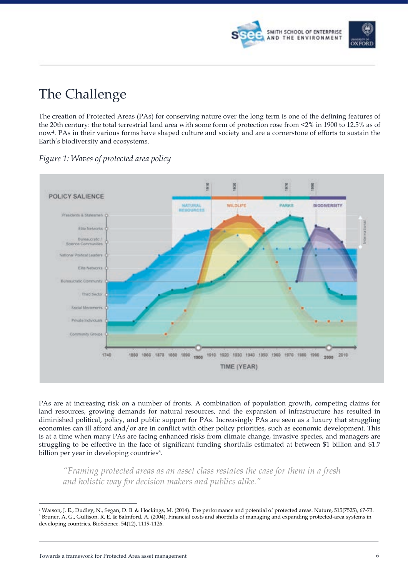

# The Challenge

The creation of Protected Areas (PAs) for conserving nature over the long term is one of the defining features of the 20th century: the total terrestrial land area with some form of protection rose from <2% in 1900 to 12.5% as of now4. PAs in their various forms have shaped culture and society and are a cornerstone of efforts to sustain the Earth's biodiversity and ecosystems.



*Figure 1: Waves of protected area policy*

PAs are at increasing risk on a number of fronts. A combination of population growth, competing claims for land resources, growing demands for natural resources, and the expansion of infrastructure has resulted in diminished political, policy, and public support for PAs. Increasingly PAs are seen as a luxury that struggling economies can ill afford and/or are in conflict with other policy priorities, such as economic development. This is at a time when many PAs are facing enhanced risks from climate change, invasive species, and managers are struggling to be effective in the face of significant funding shortfalls estimated at between \$1 billion and \$1.7 billion per year in developing countries<sup>5</sup>.

*"Framing protected areas as an asset class restates the case for them in a fresh and holistic way for decision makers and publics alike."*

 <sup>4</sup> Watson, J. E., Dudley, N., Segan, D. B. & Hockings, M. (2014). The performance and potential of protected areas. Nature, 515(7525), 67-73. <sup>5</sup> Bruner, A. G., Gullison, R. E. & Balmford, A. (2004). Financial costs and shortfalls of managing and expanding protected-area systems in developing countries. BioScience, 54(12), 1119-1126.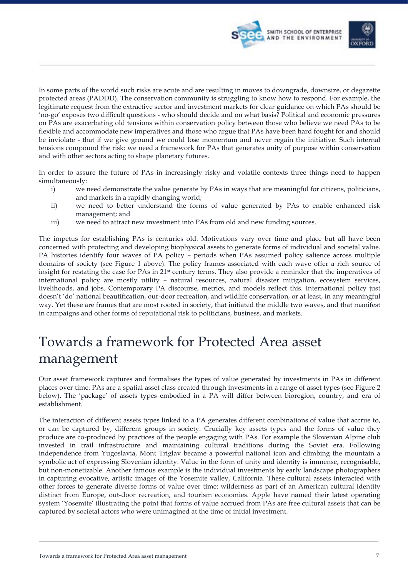

In some parts of the world such risks are acute and are resulting in moves to downgrade, downsize, or degazette protected areas (PADDD). The conservation community is struggling to know how to respond. For example, the legitimate request from the extractive sector and investment markets for clear guidance on which PAs should be 'no-go' exposes two difficult questions - who should decide and on what basis? Political and economic pressures on PAs are exacerbating old tensions within conservation policy between those who believe we need PAs to be flexible and accommodate new imperatives and those who argue that PAs have been hard fought for and should be inviolate - that if we give ground we could lose momentum and never regain the initiative. Such internal tensions compound the risk: we need a framework for PAs that generates unity of purpose within conservation and with other sectors acting to shape planetary futures.

In order to assure the future of PAs in increasingly risky and volatile contexts three things need to happen simultaneously:

- i) we need demonstrate the value generate by PAs in ways that are meaningful for citizens, politicians, and markets in a rapidly changing world;
- ii) we need to better understand the forms of value generated by PAs to enable enhanced risk management; and
- iii) we need to attract new investment into PAs from old and new funding sources.

The impetus for establishing PAs is centuries old. Motivations vary over time and place but all have been concerned with protecting and developing biophysical assets to generate forms of individual and societal value. PA histories identify four waves of PA policy – periods when PAs assumed policy salience across multiple domains of society (see Figure 1 above). The policy frames associated with each wave offer a rich source of insight for restating the case for PAs in 21st century terms. They also provide a reminder that the imperatives of international policy are mostly utility – natural resources, natural disaster mitigation, ecosystem services, livelihoods, and jobs. Contemporary PA discourse, metrics, and models reflect this. International policy just doesn't 'do' national beautification, our-door recreation, and wildlife conservation, or at least, in any meaningful way. Yet these are frames that are most rooted in society, that initiated the middle two waves, and that manifest in campaigns and other forms of reputational risk to politicians, business, and markets.

# Towards a framework for Protected Area asset management

Our asset framework captures and formalises the types of value generated by investments in PAs in different places over time. PAs are a spatial asset class created through investments in a range of asset types (see Figure 2 below). The 'package' of assets types embodied in a PA will differ between bioregion, country, and era of establishment.

The interaction of different assets types linked to a PA generates different combinations of value that accrue to, or can be captured by, different groups in society. Crucially key assets types and the forms of value they produce are co-produced by practices of the people engaging with PAs. For example the Slovenian Alpine club invested in trail infrastructure and maintaining cultural traditions during the Soviet era. Following independence from Yugoslavia, Mont Triglav became a powerful national icon and climbing the mountain a symbolic act of expressing Slovenian identity. Value in the form of unity and identity is immense, recognisable, but non-monetizable. Another famous example is the individual investments by early landscape photographers in capturing evocative, artistic images of the Yosemite valley, California. These cultural assets interacted with other forces to generate diverse forms of value over time: wilderness as part of an American cultural identity distinct from Europe, out-door recreation, and tourism economies. Apple have named their latest operating system 'Yosemite' illustrating the point that forms of value accrued from PAs are free cultural assets that can be captured by societal actors who were unimagined at the time of initial investment.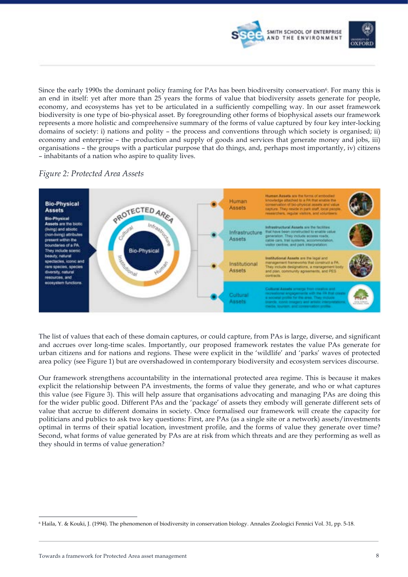

Since the early 1990s the dominant policy framing for PAs has been biodiversity conservation<sup>6</sup>. For many this is an end in itself: yet after more than 25 years the forms of value that biodiversity assets generate for people, economy, and ecosystems has yet to be articulated in a sufficiently compelling way. In our asset framework biodiversity is one type of bio-physical asset. By foregrounding other forms of biophysical assets our framework represents a more holistic and comprehensive summary of the forms of value captured by four key inter-locking domains of society: i) nations and polity – the process and conventions through which society is organised; ii) economy and enterprise – the production and supply of goods and services that generate money and jobs, iii) organisations – the groups with a particular purpose that do things, and, perhaps most importantly, iv) citizens – inhabitants of a nation who aspire to quality lives.

### *Figure 2: Protected Area Assets*



The list of values that each of these domain captures, or could capture, from PAs is large, diverse, and significant and accrues over long-time scales. Importantly, our proposed framework restates the value PAs generate for urban citizens and for nations and regions. These were explicit in the 'wildlife' and 'parks' waves of protected area policy (see Figure 1) but are overshadowed in contemporary biodiversity and ecosystem services discourse.

Our framework strengthens accountability in the international protected area regime. This is because it makes explicit the relationship between PA investments, the forms of value they generate, and who or what captures this value (see Figure 3). This will help assure that organisations advocating and managing PAs are doing this for the wider public good. Different PAs and the 'package' of assets they embody will generate different sets of value that accrue to different domains in society. Once formalised our framework will create the capacity for politicians and publics to ask two key questions: First, are PAs (as a single site or a network) assets/investments optimal in terms of their spatial location, investment profile, and the forms of value they generate over time? Second, what forms of value generated by PAs are at risk from which threats and are they performing as well as they should in terms of value generation?

 <sup>6</sup> Haila, Y. & Kouki, J. (1994). The phenomenon of biodiversity in conservation biology. Annales Zoologici Fennici Vol. 31, pp. 5-18.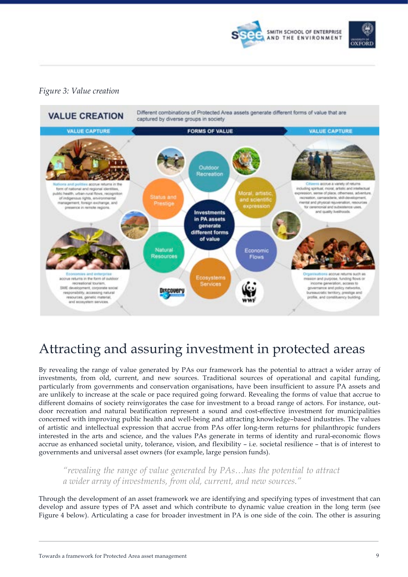

# OXEORE

### *Figure 3: Value creation*



# Attracting and assuring investment in protected areas

By revealing the range of value generated by PAs our framework has the potential to attract a wider array of investments, from old, current, and new sources. Traditional sources of operational and capital funding, particularly from governments and conservation organisations, have been insufficient to assure PA assets and are unlikely to increase at the scale or pace required going forward. Revealing the forms of value that accrue to different domains of society reinvigorates the case for investment to a broad range of actors. For instance, outdoor recreation and natural beatification represent a sound and cost-effective investment for municipalities concerned with improving public health and well-being and attracting knowledge–based industries. The values of artistic and intellectual expression that accrue from PAs offer long-term returns for philanthropic funders interested in the arts and science, and the values PAs generate in terms of identity and rural-economic flows accrue as enhanced societal unity, tolerance, vision, and flexibility – i.e. societal resilience – that is of interest to governments and universal asset owners (for example, large pension funds).

*"revealing the range of value generated by PAs…has the potential to attract a wider array of investments, from old, current, and new sources."*

Through the development of an asset framework we are identifying and specifying types of investment that can develop and assure types of PA asset and which contribute to dynamic value creation in the long term (see Figure 4 below). Articulating a case for broader investment in PA is one side of the coin. The other is assuring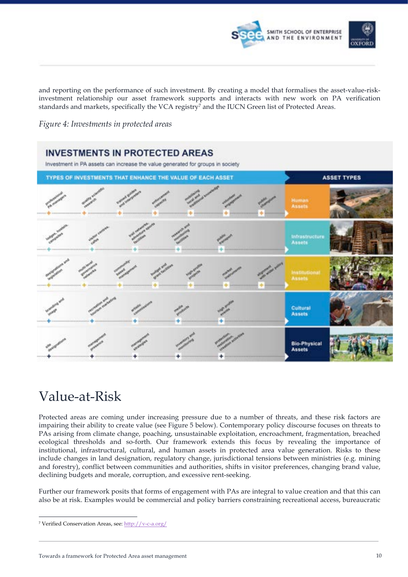

and reporting on the performance of such investment. By creating a model that formalises the asset-value-riskinvestment relationship our asset framework supports and interacts with new work on PA verification standards and markets, specifically the VCA registry<sup>7</sup> and the IUCN Green list of Protected Areas.

*Figure 4: Investments in protected areas*



# Value-at-Risk

Protected areas are coming under increasing pressure due to a number of threats, and these risk factors are impairing their ability to create value (see Figure 5 below). Contemporary policy discourse focuses on threats to PAs arising from climate change, poaching, unsustainable exploitation, encroachment, fragmentation, breached ecological thresholds and so-forth. Our framework extends this focus by revealing the importance of institutional, infrastructural, cultural, and human assets in protected area value generation. Risks to these include changes in land designation, regulatory change, jurisdictional tensions between ministries (e.g. mining and forestry), conflict between communities and authorities, shifts in visitor preferences, changing brand value, declining budgets and morale, corruption, and excessive rent-seeking.

Further our framework posits that forms of engagement with PAs are integral to value creation and that this can also be at risk. Examples would be commercial and policy barriers constraining recreational access, bureaucratic

 <sup>7</sup> Verified Conservation Areas, see: http://v-c-a.org/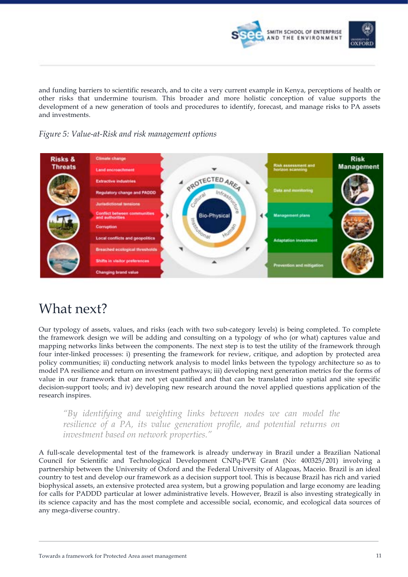

and funding barriers to scientific research, and to cite a very current example in Kenya, perceptions of health or other risks that undermine tourism. This broader and more holistic conception of value supports the development of a new generation of tools and procedures to identify, forecast, and manage risks to PA assets and investments.

*Figure 5: Value-at-Risk and risk management options* 



# What next?

Our typology of assets, values, and risks (each with two sub-category levels) is being completed. To complete the framework design we will be adding and consulting on a typology of who (or what) captures value and mapping networks links between the components. The next step is to test the utility of the framework through four inter-linked processes: i) presenting the framework for review, critique, and adoption by protected area policy communities; ii) conducting network analysis to model links between the typology architecture so as to model PA resilience and return on investment pathways; iii) developing next generation metrics for the forms of value in our framework that are not yet quantified and that can be translated into spatial and site specific decision-support tools; and iv) developing new research around the novel applied questions application of the research inspires.

*"By identifying and weighting links between nodes we can model the resilience of a PA, its value generation profile, and potential returns on investment based on network properties."*

A full-scale developmental test of the framework is already underway in Brazil under a Brazilian National Council for Scientific and Technological Development CNPq-PVE Grant (No: 400325/201) involving a partnership between the University of Oxford and the Federal University of Alagoas, Maceio. Brazil is an ideal country to test and develop our framework as a decision support tool. This is because Brazil has rich and varied biophysical assets, an extensive protected area system, but a growing population and large economy are leading for calls for PADDD particular at lower administrative levels. However, Brazil is also investing strategically in its science capacity and has the most complete and accessible social, economic, and ecological data sources of any mega-diverse country.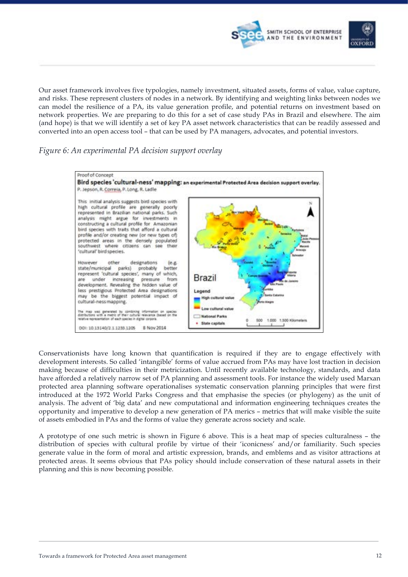

Our asset framework involves five typologies, namely investment, situated assets, forms of value, value capture, and risks. These represent clusters of nodes in a network. By identifying and weighting links between nodes we can model the resilience of a PA, its value generation profile, and potential returns on investment based on network properties. We are preparing to do this for a set of case study PAs in Brazil and elsewhere. The aim (and hope) is that we will identify a set of key PA asset network characteristics that can be readily assessed and converted into an open access tool – that can be used by PA managers, advocates, and potential investors.

### *Figure 6: An experimental PA decision support overlay*



Conservationists have long known that quantification is required if they are to engage effectively with development interests. So called 'intangible' forms of value accrued from PAs may have lost traction in decision making because of difficulties in their metricization. Until recently available technology, standards, and data have afforded a relatively narrow set of PA planning and assessment tools. For instance the widely used Marxan protected area planning software operationalises systematic conservation planning principles that were first introduced at the 1972 World Parks Congress and that emphasise the species (or phylogeny) as the unit of analysis. The advent of 'big data' and new computational and information engineering techniques creates the opportunity and imperative to develop a new generation of PA merics – metrics that will make visible the suite of assets embodied in PAs and the forms of value they generate across society and scale.

A prototype of one such metric is shown in Figure 6 above. This is a heat map of species culturalness – the distribution of species with cultural profile by virtue of their 'iconicness' and/or familiarity. Such species generate value in the form of moral and artistic expression, brands, and emblems and as visitor attractions at protected areas. It seems obvious that PAs policy should include conservation of these natural assets in their planning and this is now becoming possible.